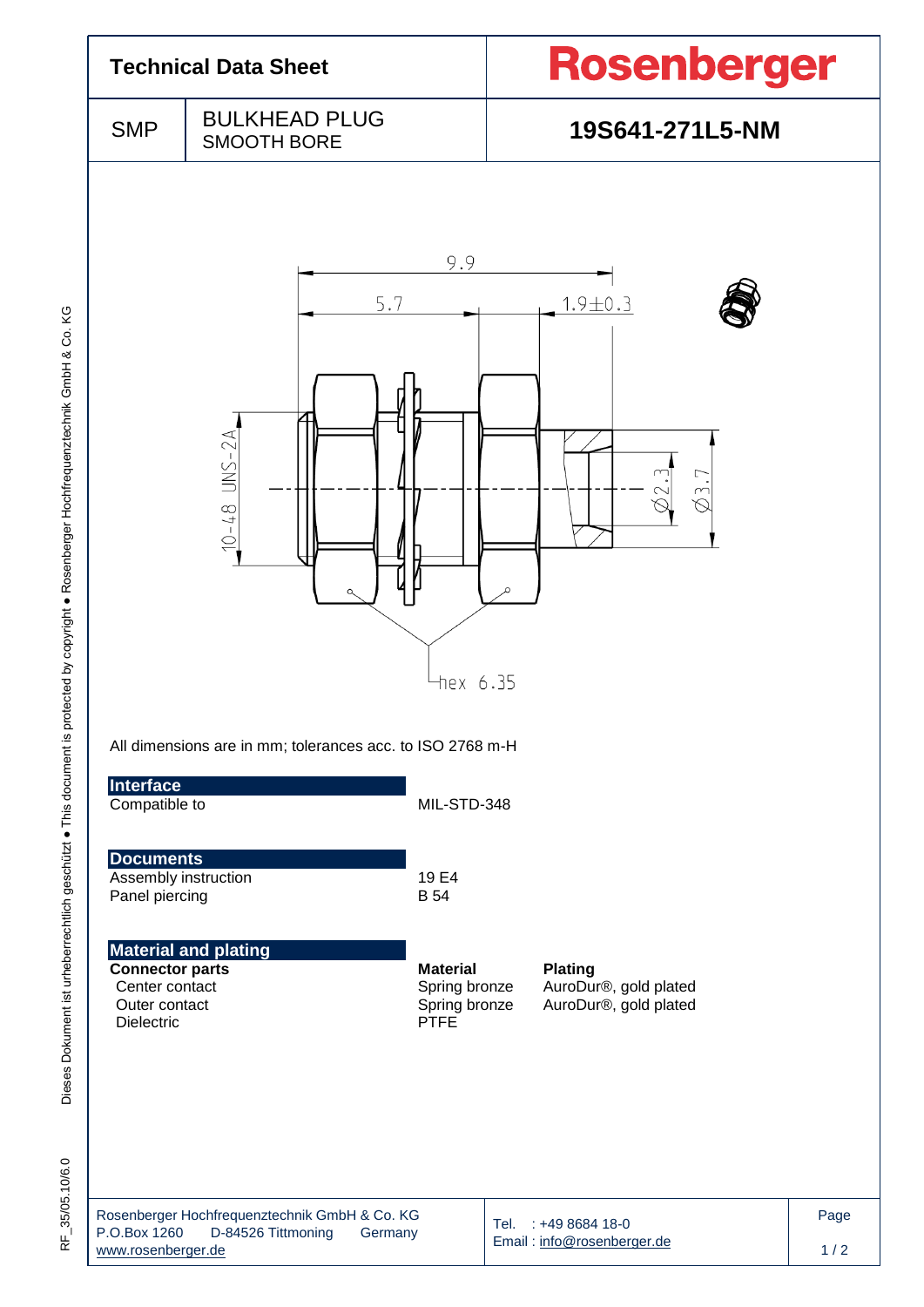| <b>Technical Data Sheet</b>                                                                                                                                                |                                                           |                                                                  | Rosenberger                                                      |  |  |  |
|----------------------------------------------------------------------------------------------------------------------------------------------------------------------------|-----------------------------------------------------------|------------------------------------------------------------------|------------------------------------------------------------------|--|--|--|
| <b>SMP</b>                                                                                                                                                                 | <b>BULKHEAD PLUG</b><br><b>SMOOTH BORE</b>                |                                                                  | 19S641-271L5-NM                                                  |  |  |  |
|                                                                                                                                                                            | 5.7<br>$UNS-2A$<br>$-10-48$<br>$\Omega$                   | 9.9<br>$+$ hex 6.35                                              | $1.9 + 0.3$<br>┌<br>$\curvearrowright$                           |  |  |  |
| Interface<br>Compatible to                                                                                                                                                 | All dimensions are in mm; tolerances acc. to ISO 2768 m-H | MIL-STD-348                                                      |                                                                  |  |  |  |
| <b>Documents</b><br>Assembly instruction<br>Panel piercing                                                                                                                 |                                                           | 19 E4<br><b>B</b> 54                                             |                                                                  |  |  |  |
| <b>Connector parts</b><br>Center contact<br>Outer contact<br>Dielectric                                                                                                    | <b>Material and plating</b>                               | <b>Material</b><br>Spring bronze<br>Spring bronze<br><b>PTFE</b> | <b>Plating</b><br>AuroDur®, gold plated<br>AuroDur®, gold plated |  |  |  |
| Rosenberger Hochfrequenztechnik GmbH & Co. KG<br>Tel. : +49 8684 18-0<br>P.O.Box 1260<br>D-84526 Tittmoning<br>Germany<br>Email: info@rosenberger.de<br>www.rosenberger.de |                                                           |                                                                  |                                                                  |  |  |  |

Dieses Dokument ist urheberrechtlich geschützt . This document is protected by copyright . Rosenberger Hochfrequenztechnik GmbH & Co. KG Dieses Dokument ist urheberrechtlich geschützt ● This document is protected by copyright ● Rosenberger Hochfrequenztechnik GmbH & Co. KG

RF\_35/05.10/6.0 RF\_35/05.10/6.0